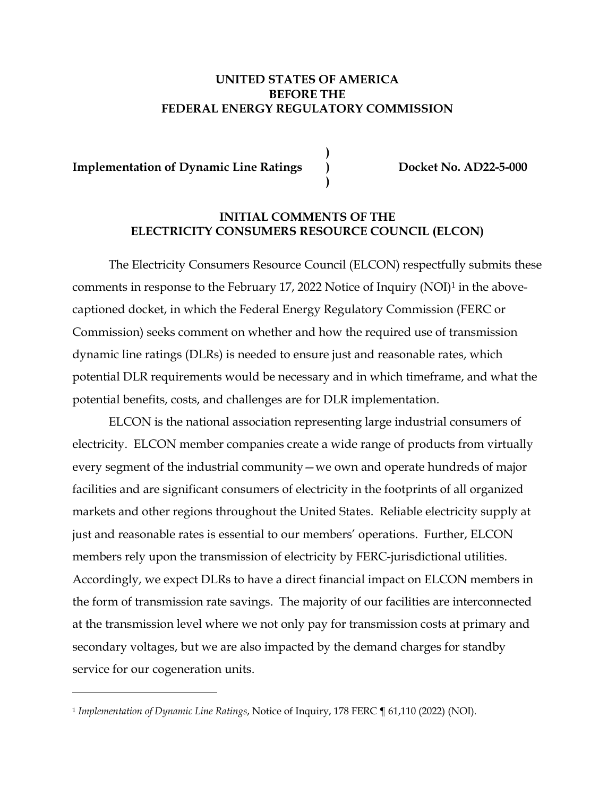### **UNITED STATES OF AMERICA BEFORE THE FEDERAL ENERGY REGULATORY COMMISSION**

**Implementation of Dynamic Line Ratings )** Docket No. AD22-5-000

 **)** 

 **)** 

### **INITIAL COMMENTS OF THE ELECTRICITY CONSUMERS RESOURCE COUNCIL (ELCON)**

The Electricity Consumers Resource Council (ELCON) respectfully submits these comments in response to the February 17, 2022 Notice of Inquiry (NOI)1 in the abovecaptioned docket, in which the Federal Energy Regulatory Commission (FERC or Commission) seeks comment on whether and how the required use of transmission dynamic line ratings (DLRs) is needed to ensure just and reasonable rates, which potential DLR requirements would be necessary and in which timeframe, and what the potential benefits, costs, and challenges are for DLR implementation.

ELCON is the national association representing large industrial consumers of electricity. ELCON member companies create a wide range of products from virtually every segment of the industrial community—we own and operate hundreds of major facilities and are significant consumers of electricity in the footprints of all organized markets and other regions throughout the United States. Reliable electricity supply at just and reasonable rates is essential to our members' operations. Further, ELCON members rely upon the transmission of electricity by FERC-jurisdictional utilities. Accordingly, we expect DLRs to have a direct financial impact on ELCON members in the form of transmission rate savings. The majority of our facilities are interconnected at the transmission level where we not only pay for transmission costs at primary and secondary voltages, but we are also impacted by the demand charges for standby service for our cogeneration units.

<sup>1</sup> *Implementation of Dynamic Line Ratings*, Notice of Inquiry, 178 FERC ¶ 61,110 (2022) (NOI).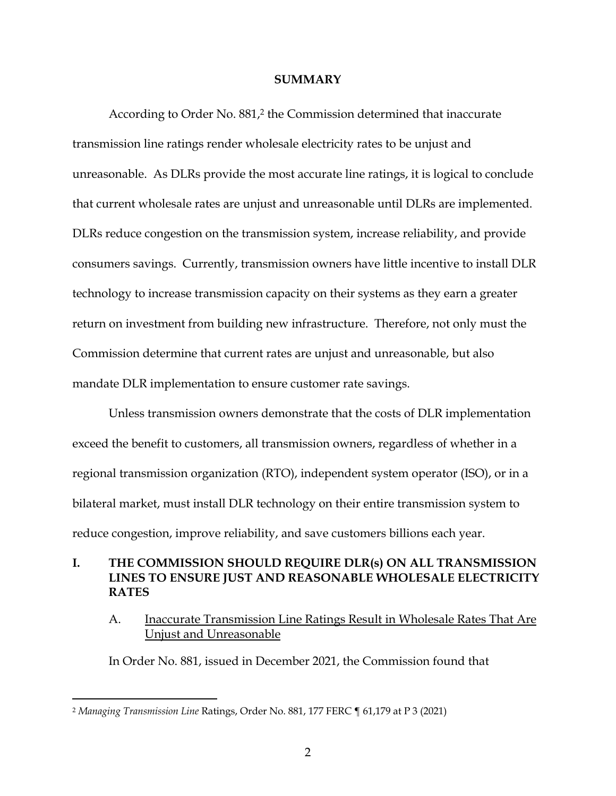#### **SUMMARY**

According to Order No. 881,<sup>2</sup> the Commission determined that inaccurate transmission line ratings render wholesale electricity rates to be unjust and unreasonable. As DLRs provide the most accurate line ratings, it is logical to conclude that current wholesale rates are unjust and unreasonable until DLRs are implemented. DLRs reduce congestion on the transmission system, increase reliability, and provide consumers savings. Currently, transmission owners have little incentive to install DLR technology to increase transmission capacity on their systems as they earn a greater return on investment from building new infrastructure. Therefore, not only must the Commission determine that current rates are unjust and unreasonable, but also mandate DLR implementation to ensure customer rate savings.

Unless transmission owners demonstrate that the costs of DLR implementation exceed the benefit to customers, all transmission owners, regardless of whether in a regional transmission organization (RTO), independent system operator (ISO), or in a bilateral market, must install DLR technology on their entire transmission system to reduce congestion, improve reliability, and save customers billions each year.

### **I. THE COMMISSION SHOULD REQUIRE DLR(s) ON ALL TRANSMISSION LINES TO ENSURE JUST AND REASONABLE WHOLESALE ELECTRICITY RATES**

A. Inaccurate Transmission Line Ratings Result in Wholesale Rates That Are Unjust and Unreasonable

In Order No. 881, issued in December 2021, the Commission found that

<sup>2</sup> *Managing Transmission Line* Ratings, Order No. 881, 177 FERC ¶ 61,179 at P 3 (2021)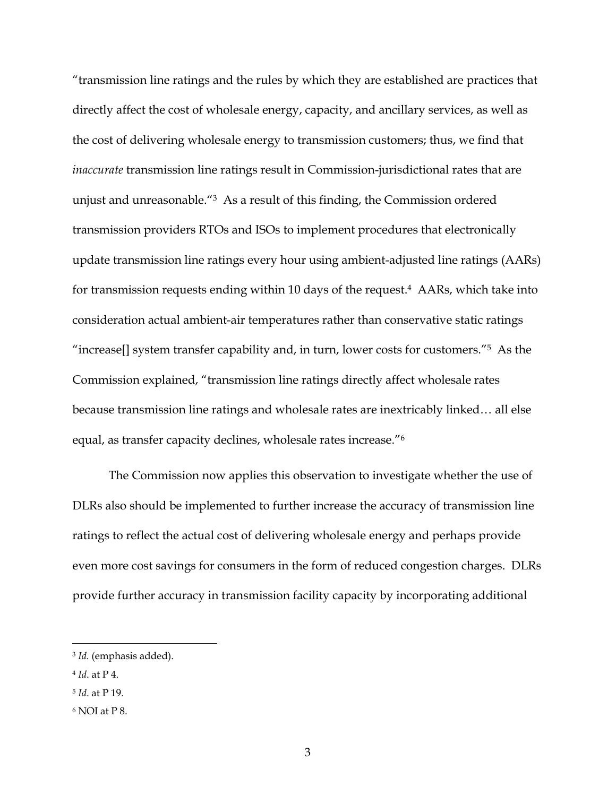"transmission line ratings and the rules by which they are established are practices that directly affect the cost of wholesale energy, capacity, and ancillary services, as well as the cost of delivering wholesale energy to transmission customers; thus, we find that *inaccurate* transmission line ratings result in Commission-jurisdictional rates that are unjust and unreasonable."3 As a result of this finding, the Commission ordered transmission providers RTOs and ISOs to implement procedures that electronically update transmission line ratings every hour using ambient-adjusted line ratings (AARs) for transmission requests ending within 10 days of the request.<sup>4</sup> AARs, which take into consideration actual ambient-air temperatures rather than conservative static ratings "increase[] system transfer capability and, in turn, lower costs for customers."5 As the Commission explained, "transmission line ratings directly affect wholesale rates because transmission line ratings and wholesale rates are inextricably linked… all else equal, as transfer capacity declines, wholesale rates increase."6

The Commission now applies this observation to investigate whether the use of DLRs also should be implemented to further increase the accuracy of transmission line ratings to reflect the actual cost of delivering wholesale energy and perhaps provide even more cost savings for consumers in the form of reduced congestion charges. DLRs provide further accuracy in transmission facility capacity by incorporating additional

<sup>3</sup> *Id.* (emphasis added).

<sup>4</sup> *Id*. at P 4.

<sup>5</sup> *Id*. at P 19.

<sup>6</sup> NOI at P 8.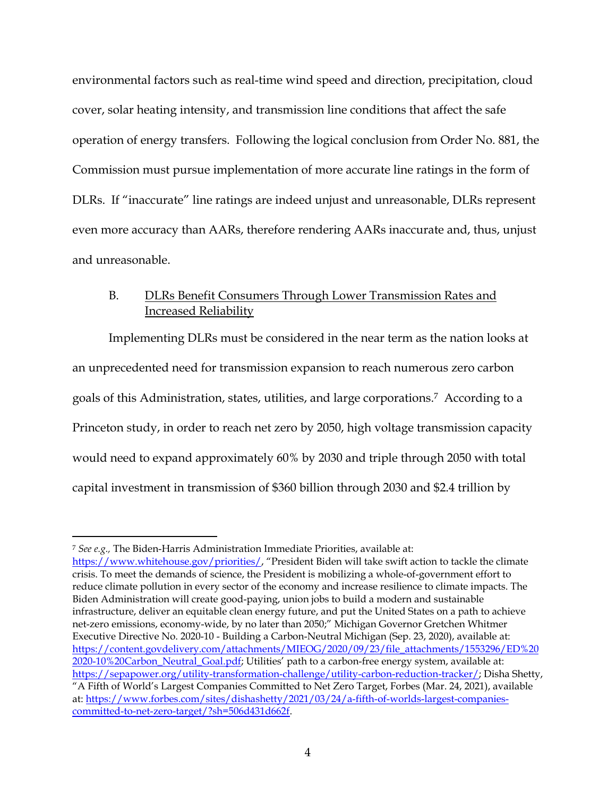environmental factors such as real-time wind speed and direction, precipitation, cloud cover, solar heating intensity, and transmission line conditions that affect the safe operation of energy transfers. Following the logical conclusion from Order No. 881, the Commission must pursue implementation of more accurate line ratings in the form of DLRs. If "inaccurate" line ratings are indeed unjust and unreasonable, DLRs represent even more accuracy than AARs, therefore rendering AARs inaccurate and, thus, unjust and unreasonable.

## B. DLRs Benefit Consumers Through Lower Transmission Rates and Increased Reliability

Implementing DLRs must be considered in the near term as the nation looks at an unprecedented need for transmission expansion to reach numerous zero carbon goals of this Administration, states, utilities, and large corporations.7 According to a Princeton study, in order to reach net zero by 2050, high voltage transmission capacity would need to expand approximately 60% by 2030 and triple through 2050 with total capital investment in transmission of \$360 billion through 2030 and \$2.4 trillion by

<sup>7</sup> *See e.g.,* The Biden-Harris Administration Immediate Priorities, available at:

https://www.whitehouse.gov/priorities// "President Biden will take swift action to tackle the climate crisis. To meet the demands of science, the President is mobilizing a whole-of-government effort to reduce climate pollution in every sector of the economy and increase resilience to climate impacts. The Biden Administration will create good-paying, union jobs to build a modern and sustainable infrastructure, deliver an equitable clean energy future, and put the United States on a path to achieve net-zero emissions, economy-wide, by no later than 2050;" Michigan Governor Gretchen Whitmer Executive Directive No. 2020-10 - Building a Carbon-Neutral Michigan (Sep. 23, 2020), available at: https://content.govdelivery.com/attachments/MIEOG/2020/09/23/file\_attachments/1553296/ED%20 2020-10%20Carbon\_Neutral\_Goal.pdf; Utilities' path to a carbon-free energy system, available at: https://sepapower.org/utility-transformation-challenge/utility-carbon-reduction-tracker/; Disha Shetty, "A Fifth of World's Largest Companies Committed to Net Zero Target, Forbes (Mar. 24, 2021), available at: https://www.forbes.com/sites/dishashetty/2021/03/24/a-fifth-of-worlds-largest-companiescommitted-to-net-zero-target/?sh=506d431d662f.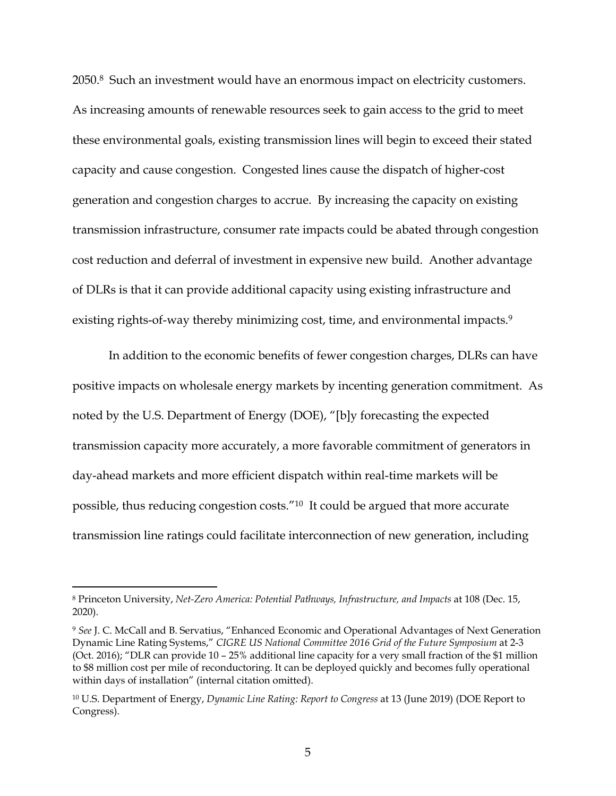2050.8 Such an investment would have an enormous impact on electricity customers. As increasing amounts of renewable resources seek to gain access to the grid to meet these environmental goals, existing transmission lines will begin to exceed their stated capacity and cause congestion. Congested lines cause the dispatch of higher-cost generation and congestion charges to accrue. By increasing the capacity on existing transmission infrastructure, consumer rate impacts could be abated through congestion cost reduction and deferral of investment in expensive new build. Another advantage of DLRs is that it can provide additional capacity using existing infrastructure and existing rights-of-way thereby minimizing cost, time, and environmental impacts.<sup>9</sup>

In addition to the economic benefits of fewer congestion charges, DLRs can have positive impacts on wholesale energy markets by incenting generation commitment. As noted by the U.S. Department of Energy (DOE), "[b]y forecasting the expected transmission capacity more accurately, a more favorable commitment of generators in day-ahead markets and more efficient dispatch within real-time markets will be possible, thus reducing congestion costs."10 It could be argued that more accurate transmission line ratings could facilitate interconnection of new generation, including

<sup>8</sup> Princeton University, *Net-Zero America: Potential Pathways, Infrastructure, and Impacts* at 108 (Dec. 15, 2020).

<sup>9</sup> *See* J. C. McCall and B. Servatius, "Enhanced Economic and Operational Advantages of Next Generation Dynamic Line Rating Systems," *CIGRE US National Committee 2016 Grid of the Future Symposium* at 2-3 (Oct. 2016); "DLR can provide 10 – 25% additional line capacity for a very small fraction of the \$1 million to \$8 million cost per mile of reconductoring. It can be deployed quickly and becomes fully operational within days of installation" (internal citation omitted).

<sup>10</sup> U.S. Department of Energy, *Dynamic Line Rating: Report to Congress* at 13 (June 2019) (DOE Report to Congress).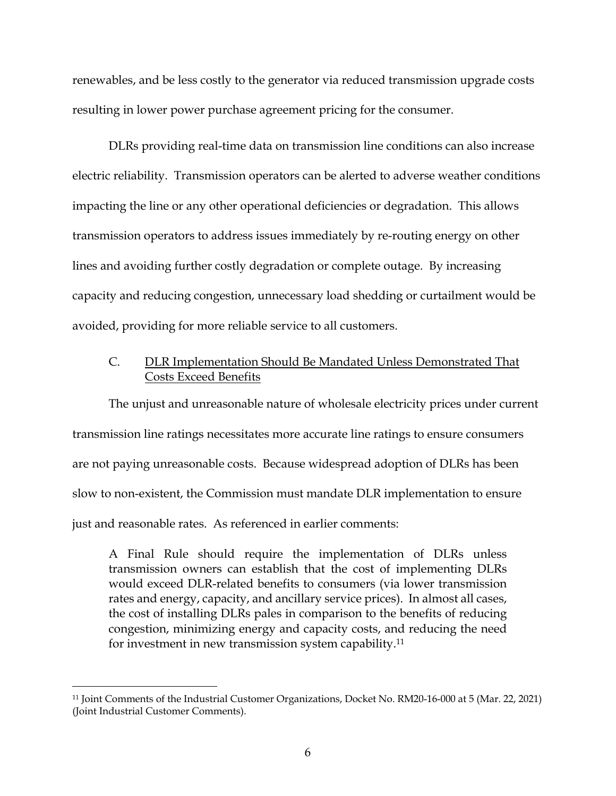renewables, and be less costly to the generator via reduced transmission upgrade costs resulting in lower power purchase agreement pricing for the consumer.

DLRs providing real-time data on transmission line conditions can also increase electric reliability. Transmission operators can be alerted to adverse weather conditions impacting the line or any other operational deficiencies or degradation. This allows transmission operators to address issues immediately by re-routing energy on other lines and avoiding further costly degradation or complete outage. By increasing capacity and reducing congestion, unnecessary load shedding or curtailment would be avoided, providing for more reliable service to all customers.

## C. DLR Implementation Should Be Mandated Unless Demonstrated That Costs Exceed Benefits

The unjust and unreasonable nature of wholesale electricity prices under current transmission line ratings necessitates more accurate line ratings to ensure consumers are not paying unreasonable costs. Because widespread adoption of DLRs has been slow to non-existent, the Commission must mandate DLR implementation to ensure just and reasonable rates. As referenced in earlier comments:

A Final Rule should require the implementation of DLRs unless transmission owners can establish that the cost of implementing DLRs would exceed DLR-related benefits to consumers (via lower transmission rates and energy, capacity, and ancillary service prices). In almost all cases, the cost of installing DLRs pales in comparison to the benefits of reducing congestion, minimizing energy and capacity costs, and reducing the need for investment in new transmission system capability.11

<sup>11</sup> Joint Comments of the Industrial Customer Organizations, Docket No. RM20-16-000 at 5 (Mar. 22, 2021) (Joint Industrial Customer Comments).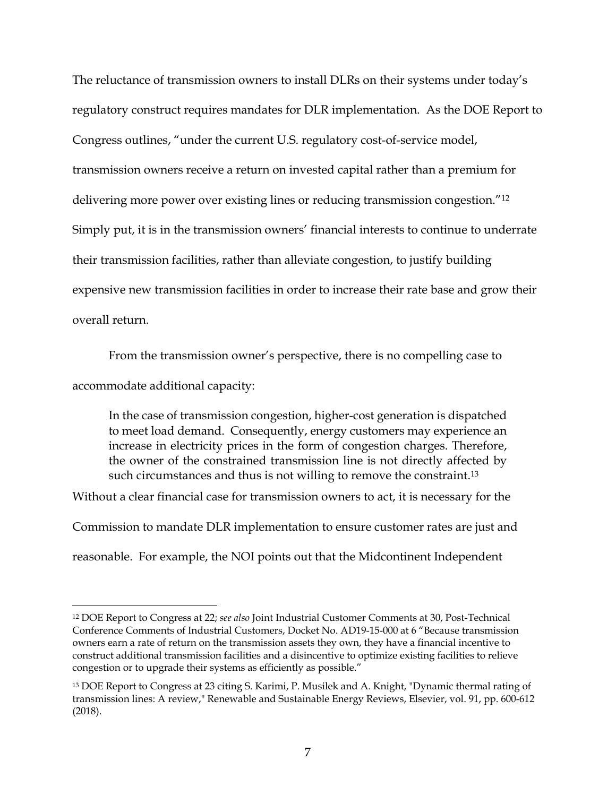The reluctance of transmission owners to install DLRs on their systems under today's regulatory construct requires mandates for DLR implementation. As the DOE Report to Congress outlines, "under the current U.S. regulatory cost-of-service model, transmission owners receive a return on invested capital rather than a premium for delivering more power over existing lines or reducing transmission congestion."12 Simply put, it is in the transmission owners' financial interests to continue to underrate their transmission facilities, rather than alleviate congestion, to justify building expensive new transmission facilities in order to increase their rate base and grow their overall return.

From the transmission owner's perspective, there is no compelling case to

accommodate additional capacity:

In the case of transmission congestion, higher-cost generation is dispatched to meet load demand. Consequently, energy customers may experience an increase in electricity prices in the form of congestion charges. Therefore, the owner of the constrained transmission line is not directly affected by such circumstances and thus is not willing to remove the constraint.<sup>13</sup>

Without a clear financial case for transmission owners to act, it is necessary for the

Commission to mandate DLR implementation to ensure customer rates are just and

reasonable. For example, the NOI points out that the Midcontinent Independent

<sup>12</sup> DOE Report to Congress at 22; *see also* Joint Industrial Customer Comments at 30, Post-Technical Conference Comments of Industrial Customers, Docket No. AD19-15-000 at 6 "Because transmission owners earn a rate of return on the transmission assets they own, they have a financial incentive to construct additional transmission facilities and a disincentive to optimize existing facilities to relieve congestion or to upgrade their systems as efficiently as possible."

<sup>13</sup> DOE Report to Congress at 23 citing S. Karimi, P. Musilek and A. Knight, "Dynamic thermal rating of transmission lines: A review," Renewable and Sustainable Energy Reviews, Elsevier, vol. 91, pp. 600-612 (2018).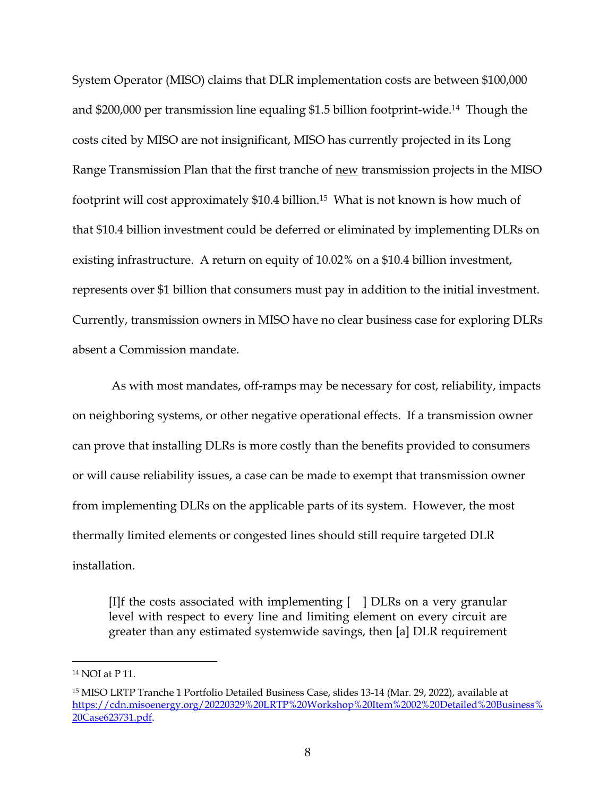System Operator (MISO) claims that DLR implementation costs are between \$100,000 and \$200,000 per transmission line equaling \$1.5 billion footprint-wide.14 Though the costs cited by MISO are not insignificant, MISO has currently projected in its Long Range Transmission Plan that the first tranche of new transmission projects in the MISO footprint will cost approximately \$10.4 billion.15 What is not known is how much of that \$10.4 billion investment could be deferred or eliminated by implementing DLRs on existing infrastructure. A return on equity of 10.02% on a \$10.4 billion investment, represents over \$1 billion that consumers must pay in addition to the initial investment. Currently, transmission owners in MISO have no clear business case for exploring DLRs absent a Commission mandate.

 As with most mandates, off-ramps may be necessary for cost, reliability, impacts on neighboring systems, or other negative operational effects. If a transmission owner can prove that installing DLRs is more costly than the benefits provided to consumers or will cause reliability issues, a case can be made to exempt that transmission owner from implementing DLRs on the applicable parts of its system. However, the most thermally limited elements or congested lines should still require targeted DLR installation.

[I]f the costs associated with implementing  $\begin{bmatrix} 1 \end{bmatrix}$  DLRs on a very granular level with respect to every line and limiting element on every circuit are greater than any estimated systemwide savings, then [a] DLR requirement

<sup>14</sup> NOI at P 11.

<sup>15</sup> MISO LRTP Tranche 1 Portfolio Detailed Business Case, slides 13-14 (Mar. 29, 2022), available at https://cdn.misoenergy.org/20220329%20LRTP%20Workshop%20Item%2002%20Detailed%20Business% 20Case623731.pdf.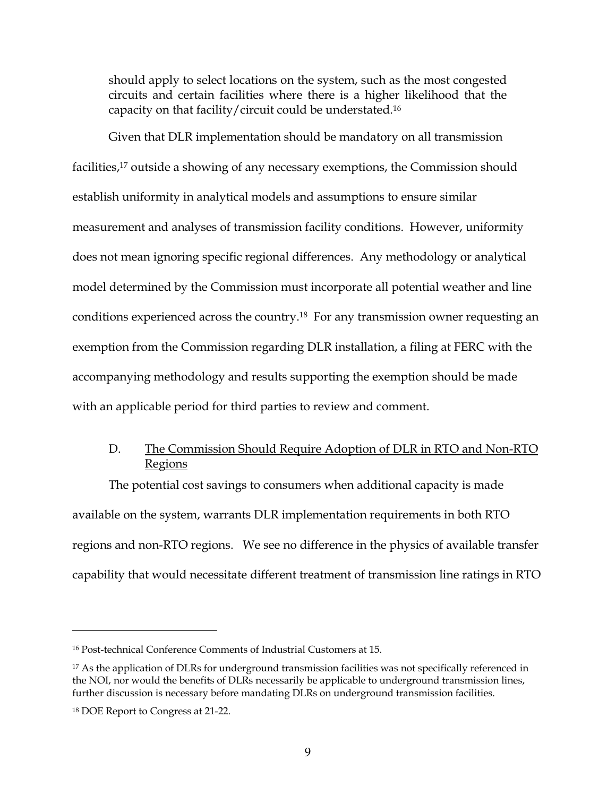should apply to select locations on the system, such as the most congested circuits and certain facilities where there is a higher likelihood that the capacity on that facility/circuit could be understated.16

Given that DLR implementation should be mandatory on all transmission facilities,17 outside a showing of any necessary exemptions, the Commission should establish uniformity in analytical models and assumptions to ensure similar measurement and analyses of transmission facility conditions. However, uniformity does not mean ignoring specific regional differences. Any methodology or analytical model determined by the Commission must incorporate all potential weather and line conditions experienced across the country.18 For any transmission owner requesting an exemption from the Commission regarding DLR installation, a filing at FERC with the accompanying methodology and results supporting the exemption should be made with an applicable period for third parties to review and comment.

# D. The Commission Should Require Adoption of DLR in RTO and Non-RTO **Regions**

The potential cost savings to consumers when additional capacity is made available on the system, warrants DLR implementation requirements in both RTO regions and non-RTO regions. We see no difference in the physics of available transfer capability that would necessitate different treatment of transmission line ratings in RTO

<sup>16</sup> Post-technical Conference Comments of Industrial Customers at 15.

<sup>&</sup>lt;sup>17</sup> As the application of DLRs for underground transmission facilities was not specifically referenced in the NOI, nor would the benefits of DLRs necessarily be applicable to underground transmission lines, further discussion is necessary before mandating DLRs on underground transmission facilities.

<sup>18</sup> DOE Report to Congress at 21-22.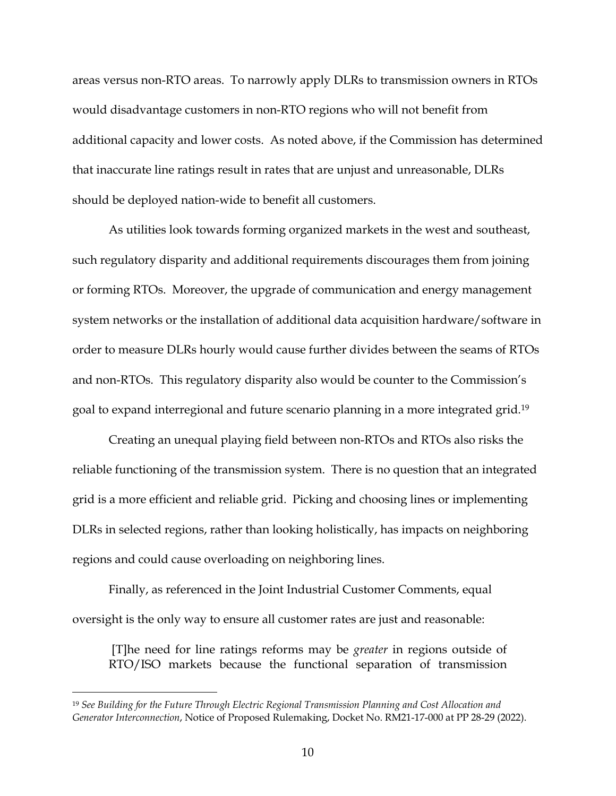areas versus non-RTO areas. To narrowly apply DLRs to transmission owners in RTOs would disadvantage customers in non-RTO regions who will not benefit from additional capacity and lower costs. As noted above, if the Commission has determined that inaccurate line ratings result in rates that are unjust and unreasonable, DLRs should be deployed nation-wide to benefit all customers.

As utilities look towards forming organized markets in the west and southeast, such regulatory disparity and additional requirements discourages them from joining or forming RTOs. Moreover, the upgrade of communication and energy management system networks or the installation of additional data acquisition hardware/software in order to measure DLRs hourly would cause further divides between the seams of RTOs and non-RTOs. This regulatory disparity also would be counter to the Commission's goal to expand interregional and future scenario planning in a more integrated grid.19

Creating an unequal playing field between non-RTOs and RTOs also risks the reliable functioning of the transmission system. There is no question that an integrated grid is a more efficient and reliable grid. Picking and choosing lines or implementing DLRs in selected regions, rather than looking holistically, has impacts on neighboring regions and could cause overloading on neighboring lines.

Finally, as referenced in the Joint Industrial Customer Comments, equal oversight is the only way to ensure all customer rates are just and reasonable:

 [T]he need for line ratings reforms may be *greater* in regions outside of RTO/ISO markets because the functional separation of transmission

<sup>19</sup> *See Building for the Future Through Electric Regional Transmission Planning and Cost Allocation and Generator Interconnection*, Notice of Proposed Rulemaking, Docket No. RM21-17-000 at PP 28-29 (2022).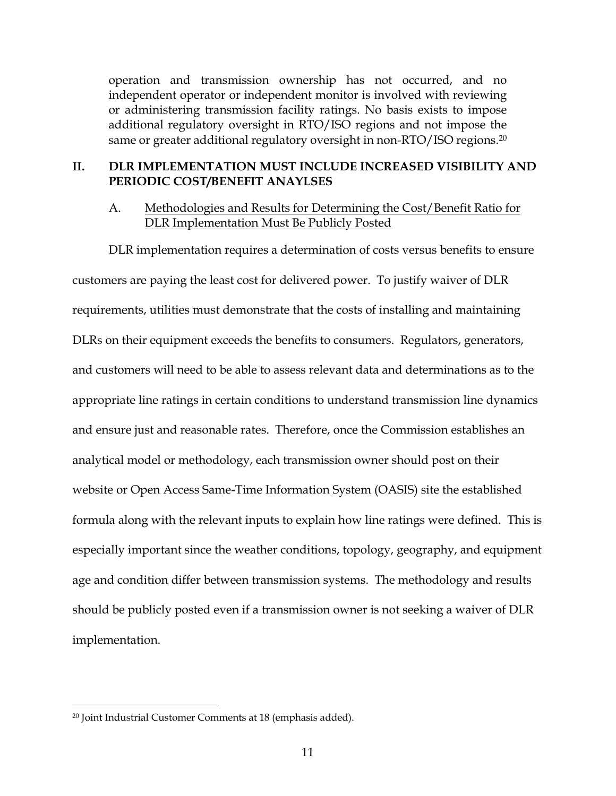operation and transmission ownership has not occurred, and no independent operator or independent monitor is involved with reviewing or administering transmission facility ratings. No basis exists to impose additional regulatory oversight in RTO/ISO regions and not impose the same or greater additional regulatory oversight in non-RTO/ISO regions.<sup>20</sup>

### **II. DLR IMPLEMENTATION MUST INCLUDE INCREASED VISIBILITY AND PERIODIC COST/BENEFIT ANAYLSES**

### A. Methodologies and Results for Determining the Cost/Benefit Ratio for DLR Implementation Must Be Publicly Posted

DLR implementation requires a determination of costs versus benefits to ensure customers are paying the least cost for delivered power. To justify waiver of DLR requirements, utilities must demonstrate that the costs of installing and maintaining DLRs on their equipment exceeds the benefits to consumers. Regulators, generators, and customers will need to be able to assess relevant data and determinations as to the appropriate line ratings in certain conditions to understand transmission line dynamics and ensure just and reasonable rates. Therefore, once the Commission establishes an analytical model or methodology, each transmission owner should post on their website or Open Access Same-Time Information System (OASIS) site the established formula along with the relevant inputs to explain how line ratings were defined. This is especially important since the weather conditions, topology, geography, and equipment age and condition differ between transmission systems. The methodology and results should be publicly posted even if a transmission owner is not seeking a waiver of DLR implementation.

<sup>20</sup> Joint Industrial Customer Comments at 18 (emphasis added).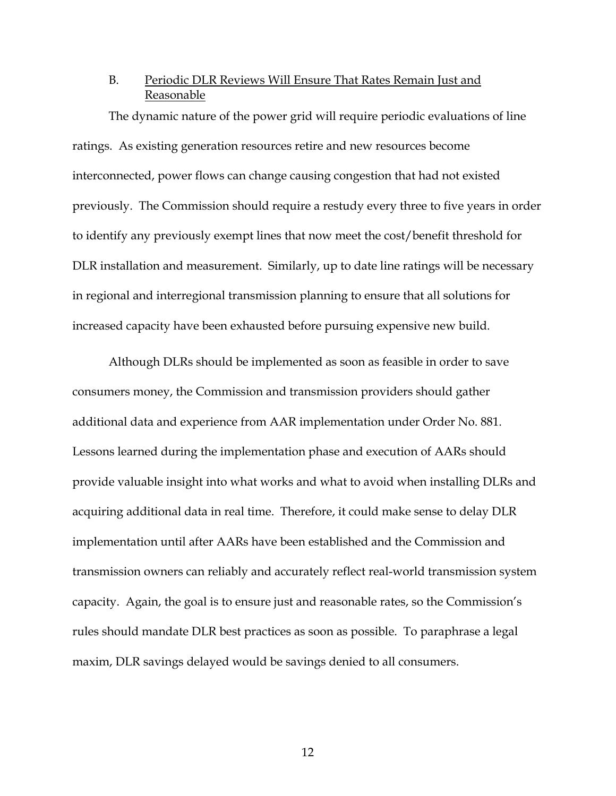### B. Periodic DLR Reviews Will Ensure That Rates Remain Just and Reasonable

The dynamic nature of the power grid will require periodic evaluations of line ratings. As existing generation resources retire and new resources become interconnected, power flows can change causing congestion that had not existed previously. The Commission should require a restudy every three to five years in order to identify any previously exempt lines that now meet the cost/benefit threshold for DLR installation and measurement. Similarly, up to date line ratings will be necessary in regional and interregional transmission planning to ensure that all solutions for increased capacity have been exhausted before pursuing expensive new build.

Although DLRs should be implemented as soon as feasible in order to save consumers money, the Commission and transmission providers should gather additional data and experience from AAR implementation under Order No. 881. Lessons learned during the implementation phase and execution of AARs should provide valuable insight into what works and what to avoid when installing DLRs and acquiring additional data in real time. Therefore, it could make sense to delay DLR implementation until after AARs have been established and the Commission and transmission owners can reliably and accurately reflect real-world transmission system capacity. Again, the goal is to ensure just and reasonable rates, so the Commission's rules should mandate DLR best practices as soon as possible. To paraphrase a legal maxim, DLR savings delayed would be savings denied to all consumers.